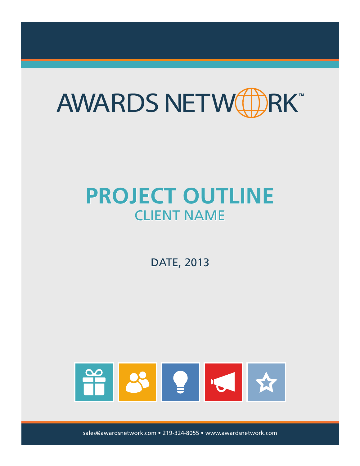

# **PROJECT OUTLINE** CLIENT NAME

DATE, 2013



sales@awardsnetwork.com • 219-324-8055 • www.awardsnetwork.com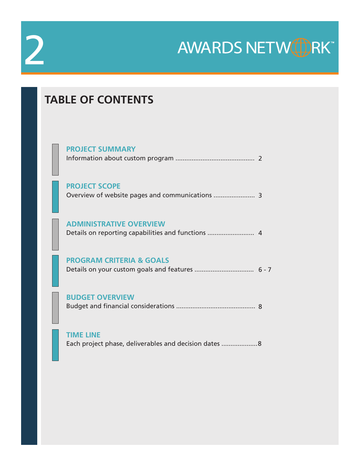# 2

AWARDS NETWEDRK

# **TABLE OF CONTENTS**

| <b>PROJECT SUMMARY</b>              |  |
|-------------------------------------|--|
| <b>PROJECT SCOPE</b>                |  |
| <b>ADMINISTRATIVE OVERVIEW</b>      |  |
| <b>PROGRAM CRITERIA &amp; GOALS</b> |  |
| <b>BUDGET OVERVIEW</b>              |  |
|                                     |  |

Each project phase, deliverables and decision dates .................... 8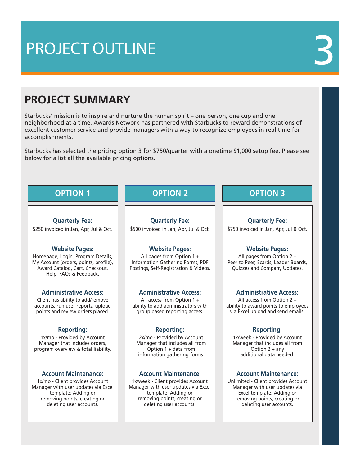# PROJECT OUTLINE 3

# **PROJECT SUMMARY**

Starbucks' mission is to inspire and nurture the human spirit – one person, one cup and one neighborhood at a time. Awards Network has partnered with Starbucks to reward demonstrations of excellent customer service and provide managers with a way to recognize employees in real time for accomplishments.

Starbucks has selected the pricing option 3 for \$750/quarter with a onetime \$1,000 setup fee. Please see below for a list all the available pricing options.

# **OPTION 1**

# **OPTION 2**

**Quarterly Fee:**

\$250 invoiced in Jan, Apr, Jul & Oct.

# **Website Pages:**

Homepage, Login, Program Details, My Account (orders, points, profile), Award Catalog, Cart, Checkout, Help, FAQs & Feedback.

## **Administrative Access:**

Client has ability to add/remove accounts, run user reports, upload points and review orders placed.

## **Reporting:**

1x/mo - Provided by Account Manager that includes orders, program overview & total liability.

## **Account Maintenance:**

1x/mo - Client provides Account Manager with user updates via Excel template: Adding or removing points, creating or deleting user accounts.

**Quarterly Fee:** \$500 invoiced in Jan, Apr, Jul & Oct.

# **Website Pages:**

All pages from Option 1 + Information Gathering Forms, PDF Postings, Self-Registration & Videos.

## **Administrative Access:**

All access from Option 1 + ability to add administrators with group based reporting access.

### **Reporting:**

2x/mo - Provided by Account Manager that includes all from Option 1 + data from information gathering forms.

### **Account Maintenance: Account Maintenance:**

1x/week - Client provides Account Manager with user updates via Excel template: Adding or removing points, creating or deleting user accounts.

# **OPTION 3**

## **Quarterly Fee:**

\$750 invoiced in Jan, Apr, Jul & Oct.

## **Website Pages:**

All pages from Option 2 + Peer to Peer, Ecards, Leader Boards, Quizzes and Company Updates.

## **Administrative Access:**

All access from Option 2 + ability to award points to employees via Excel upload and send emails.

### **Reporting:**

1x/week - Provided by Account Manager that includes all from Option 2 + any additional data needed.

Unlimited - Client provides Account Manager with user updates via Excel template: Adding or removing points, creating or deleting user accounts.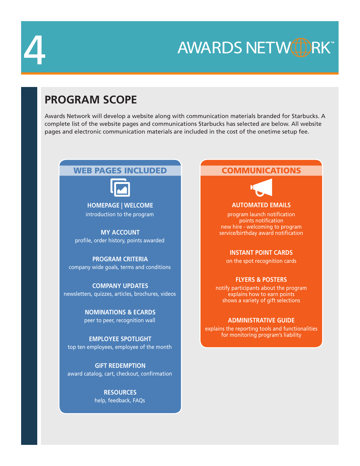

**AWARDS NETWOL** RK™

# **PROGRAM SCOPE**

Awards Network will develop a website along with communication materials branded for Starbucks. A complete list of the website pages and communications Starbucks has selected are below. All website pages and electronic communication materials are included in the cost of the onetime setup fee.

# WEB PAGES INCLUDED



**HOMEPAGE | WELCOME** introduction to the program

**MY ACCOUNT** profile, order history, points awarded

**PROGRAM CRITERIA** company wide goals, terms and conditions

**COMPANY UPDATES** newsletters, quizzes, articles, brochures, videos

> **NOMINATIONS & ECARDS** peer to peer, recognition wall

**EMPLOYEE SPOTLIGHT** top ten employees, employee of the month

**GIFT REDEMPTION** award catalog, cart, checkout, confirmation

> **RESOURCES** help, feedback, FAQs

# COMMUNICATIONS



**AUTOMATED EMAILS**

program launch notification points notification new hire - welcoming to program service/birthday award notification

**INSTANT POINT CARDS**

on the spot recognition cards

## **FLYERS & POSTERS**

notify participants about the program explains how to earn points shows a variety of gift selections

## **ADMINISTRATIVE GUIDE**

explains the reporting tools and functionalities for monitoring program's liability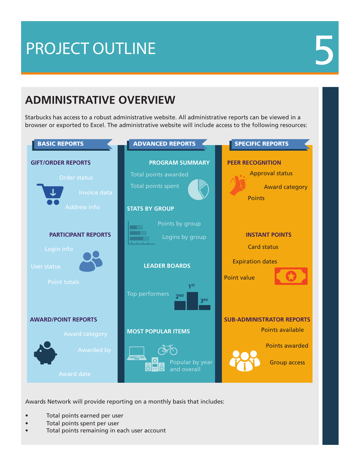# PROJECT OUTLINE

# **ADMINISTRATIVE OVERVIEW**

Starbucks has access to a robust administrative website. All administrative reports can be viewed in a browser or exported to Excel. The administrative website will include access to the following resources:



Awards Network will provide reporting on a monthly basis that includes:

- Total points earned per user
- Total points spent per user
- Total points remaining in each user account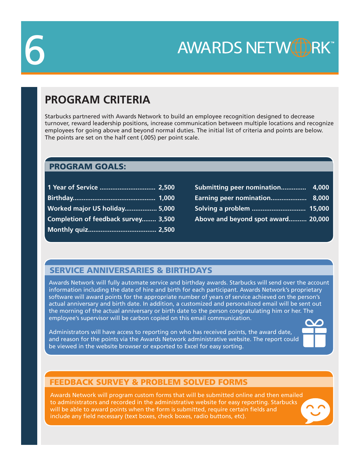

**AWARDS NETWOL**  $2K^*$ 

# **PROGRAM CRITERIA**

Starbucks partnered with Awards Network to build an employee recognition designed to decrease turnover, reward leadership positions, increase communication between multiple locations and recognize employees for going above and beyond normal duties. The initial list of criteria and points are below. The points are set on the half cent (.005) per point scale.

# PROGRAM GOALS:

| Worked major US holiday 5,000       |  |
|-------------------------------------|--|
| Completion of feedback survey 3,500 |  |
|                                     |  |

| Submitting peer nomination 4,000     |  |
|--------------------------------------|--|
| <b>Earning peer nomination 8,000</b> |  |
|                                      |  |
| Above and beyond spot award 20,000   |  |

# SERVICE ANNIVERSARIES & BIRTHDAYS

Awards Network will fully automate service and birthday awards. Starbucks will send over the account information including the date of hire and birth for each participant. Awards Network's proprietary software will award points for the appropriate number of years of service achieved on the person's actual anniversary and birth date. In addition, a customized and personalized email will be sent out the morning of the actual anniversary or birth date to the person congratulating him or her. The employee's supervisor will be carbon copied on this email communication.

Administrators will have access to reporting on who has received points, the award date, and reason for the points via the Awards Network administrative website. The report could be viewed in the website browser or exported to Excel for easy sorting.



# FEEDBACK SURVEY & PROBLEM SOLVED FORMS

Awards Network will program custom forms that will be submitted online and then emailed to administrators and recorded in the administrative website for easy reporting. Starbucks will be able to award points when the form is submitted, require certain fields and include any field necessary (text boxes, check boxes, radio buttons, etc).

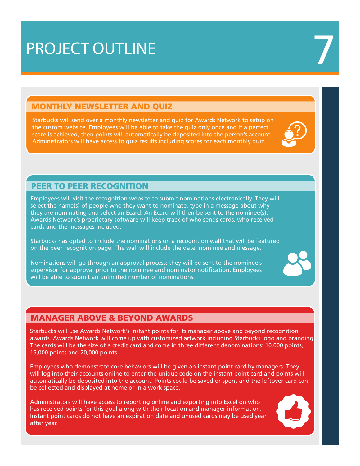# PROJECT OUTLINE

# MONTHLY NEWSLETTER AND QUIZ

Starbucks will send over a monthly newsletter and quiz for Awards Network to setup on the custom website. Employees will be able to take the quiz only once and if a perfect score is achieved, then points will automatically be deposited into the person's account. Administrators will have access to quiz results including scores for each monthly quiz.



# PEER TO PEER RECOGNITION

Employees will visit the recognition website to submit nominations electronically. They will select the name(s) of people who they want to nominate, type in a message about why they are nominating and select an Ecard. An Ecard will then be sent to the nominee(s). Awards Network's proprietary software will keep track of who sends cards, who received cards and the messages included.

Starbucks has opted to include the nominations on a recognition wall that will be featured on the peer recognition page. The wall will include the date, nominee and message.

Nominations will go through an approval process; they will be sent to the nominee's supervisor for approval prior to the nominee and nominator notification. Employees will be able to submit an unlimited number of nominations.

# MANAGER ABOVE & BEYOND AWARDS

Starbucks will use Awards Network's instant points for its manager above and beyond recognition awards. Awards Network will come up with customized artwork including Starbucks logo and branding. The cards will be the size of a credit card and come in three different denominations: 10,000 points, 15,000 points and 20,000 points.

Employees who demonstrate core behaviors will be given an instant point card by managers. They will log into their accounts online to enter the unique code on the instant point card and points will automatically be deposited into the account. Points could be saved or spent and the leftover card can be collected and displayed at home or in a work space.

Administrators will have access to reporting online and exporting into Excel on who has received points for this goal along with their location and manager information. Instant point cards do not have an expiration date and unused cards may be used year after year.